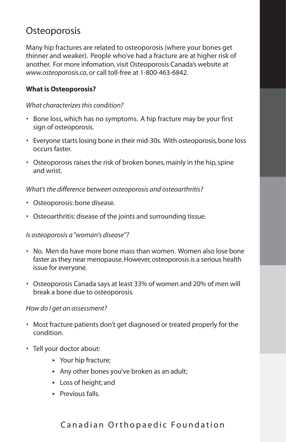# **Osteoporosis**

Many hip fractures are related to osteoporosis (where your bones get thinner and weaker). People who've had a fracture are at higher risk of another. For more infomation, visit Osteoporosis Canada's website at *www.osteoporosis.ca*, or call toll-free at 1-800-463-6842.

## **What is Osteoporosis?**

#### *What characterizes this condition?*

- Bone loss, which has no symptoms. A hip fracture may be your first sign of osteoporosis.
- Everyone starts losing bone in their mid-30s. With osteoporosis, bone loss occurs faster.
- Osteoporosis raises the risk of broken bones, mainly in the hip, spine and wrist.

#### *What's the difference between osteoporosis and osteoarthritis?*

- Osteoporosis: bone disease.
- Osteoarthritis: disease of the joints and surrounding tissue.

#### *Is osteoporosis a "woman's disease"?*

- No. Men do have more bone mass than women. Women also lose bone faster as they near menopause. However, osteoporosis is a serious health issue for everyone.
- Osteoporosis Canada says at least 33% of women and 20% of men will break a bone due to osteoporosis.

#### *How do I get an assessment?*

- Most fracture patients don't get diagnosed or treated properly for the condition.
- Tell your doctor about:
	- **‣** Your hip fracture;
	- **‣** Any other bones you've broken as an adult;
	- **‣** Loss of height; and
	- **‣** Previous falls.

## Canadian Orthopaedic Foundation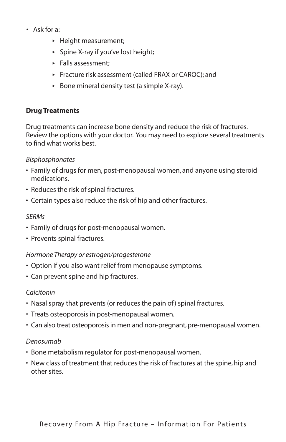- Ask for a:
	- **‣** Height measurement;
	- **‣** Spine X-ray if you've lost height;
	- **‣** Falls assessment;
	- **‣** Fracture risk assessment (called FRAX or CAROC); and
	- **‣** Bone mineral density test (a simple X-ray).

## **Drug Treatments**

Drug treatments can increase bone density and reduce the risk of fractures. Review the options with your doctor. You may need to explore several treatments to find what works best.

## *Bisphosphonates*

- Family of drugs for men, post-menopausal women, and anyone using steroid medications.
- Reduces the risk of spinal fractures.
- Certain types also reduce the risk of hip and other fractures.

#### *SERMs*

- Family of drugs for post-menopausal women.
- Prevents spinal fractures.

## *Hormone Therapy or estrogen/progesterone*

- Option if you also want relief from menopause symptoms.
- Can prevent spine and hip fractures.

## *Calcitonin*

- Nasal spray that prevents (or reduces the pain of) spinal fractures.
- Treats osteoporosis in post-menopausal women.
- Can also treat osteoporosis in men and non-pregnant, pre-menopausal women.

#### *Denosumab*

- Bone metabolism regulator for post-menopausal women.
- New class of treatment that reduces the risk of fractures at the spine, hip and other sites.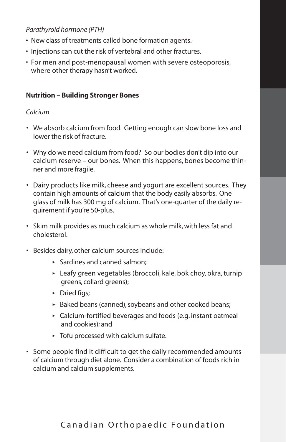## *Parathyroid hormone (PTH)*

- New class of treatments called bone formation agents.
- Injections can cut the risk of vertebral and other fractures.
- For men and post-menopausal women with severe osteoporosis, where other therapy hasn't worked.

## **Nutrition – Building Stronger Bones**

#### *Calcium*

- We absorb calcium from food. Getting enough can slow bone loss and lower the risk of fracture.
- Why do we need calcium from food? So our bodies don't dip into our calcium reserve – our bones. When this happens, bones become thinner and more fragile.
- Dairy products like milk, cheese and yogurt are excellent sources. They contain high amounts of calcium that the body easily absorbs. One glass of milk has 300 mg of calcium. That's one-quarter of the daily requirement if you're 50-plus.
- Skim milk provides as much calcium as whole milk, with less fat and cholesterol.
- Besides dairy, other calcium sources include:
	- **‣** Sardines and canned salmon;
	- **‣** Leafy green vegetables (broccoli, kale, bok choy, okra, turnip greens, collard greens);
	- **‣** Dried figs;
	- **‣** Baked beans (canned), soybeans and other cooked beans;
	- **‣** Calcium-fortified beverages and foods (e.g. instant oatmeal and cookies); and
	- **‣** Tofu processed with calcium sulfate.
- Some people find it difficult to get the daily recommended amounts of calcium through diet alone. Consider a combination of foods rich in calcium and calcium supplements.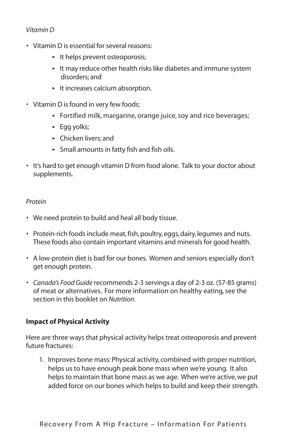#### *Vitamin D*

- Vitamin D is essential for several reasons:
	- **‣** It helps prevent osteoporosis;
	- **‣** It may reduce other health risks like diabetes and immune system disorders; and
	- **‣** It increases calcium absorption.
- Vitamin D is found in very few foods:
	- **‣** Fortified milk, margarine, orange juice, soy and rice beverages;
	- **‣** Egg yolks;
	- **‣** Chicken livers; and
	- **‣** Small amounts in fatty fish and fish oils.
- It's hard to get enough vitamin D from food alone. Talk to your doctor about supplements.

#### *Protein*

- We need protein to build and heal all body tissue.
- Protein-rich foods include meat, fish, poultry, eggs, dairy, legumes and nuts. These foods also contain important vitamins and minerals for good health.
- A low-protein diet is bad for our bones. Women and seniors especially don't get enough protein.
- *Canada's Food Guide* recommends 2-3 servings a day of 2-3 oz. (57-85 grams) of meat or alternatives. For more information on healthy eating, see the section in this booklet on *Nutrition*.

#### **Impact of Physical Activity**

Here are three ways that physical activity helps treat osteoporosis and prevent future fractures:

1. Improves bone mass: Physical activity, combined with proper nutrition, helps us to have enough peak bone mass when we're young. It also helps to maintain that bone mass as we age. When we're active, we put added force on our bones which helps to build and keep their strength.